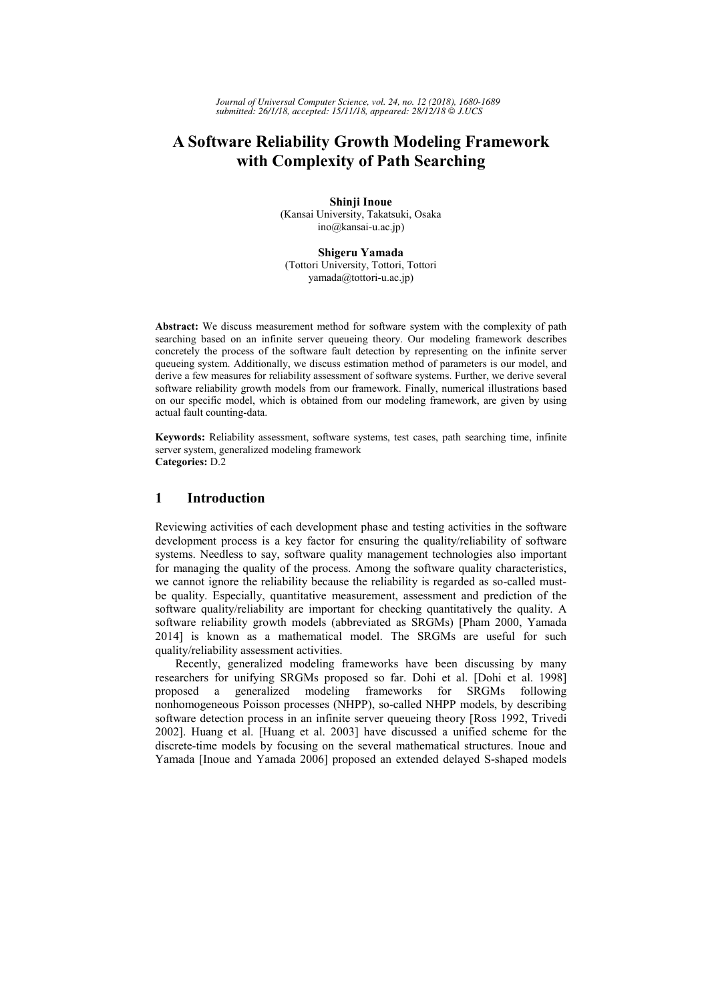# **A Software Reliability Growth Modeling Framework with Complexity of Path Searching**

**Shinji Inoue**  (Kansai University, Takatsuki, Osaka ino@kansai-u.ac.jp)

**Shigeru Yamada** (Tottori University, Tottori, Tottori yamada@tottori-u.ac.jp)

**Abstract:** We discuss measurement method for software system with the complexity of path searching based on an infinite server queueing theory. Our modeling framework describes concretely the process of the software fault detection by representing on the infinite server queueing system. Additionally, we discuss estimation method of parameters is our model, and derive a few measures for reliability assessment of software systems. Further, we derive several software reliability growth models from our framework. Finally, numerical illustrations based on our specific model, which is obtained from our modeling framework, are given by using actual fault counting-data.

**Keywords:** Reliability assessment, software systems, test cases, path searching time, infinite server system, generalized modeling framework **Categories:** D.2

## **1 Introduction**

Reviewing activities of each development phase and testing activities in the software development process is a key factor for ensuring the quality/reliability of software systems. Needless to say, software quality management technologies also important for managing the quality of the process. Among the software quality characteristics, we cannot ignore the reliability because the reliability is regarded as so-called mustbe quality. Especially, quantitative measurement, assessment and prediction of the software quality/reliability are important for checking quantitatively the quality. A software reliability growth models (abbreviated as SRGMs) [Pham 2000, Yamada 2014] is known as a mathematical model. The SRGMs are useful for such quality/reliability assessment activities.

Recently, generalized modeling frameworks have been discussing by many researchers for unifying SRGMs proposed so far. Dohi et al. [Dohi et al. 1998] proposed a generalized modeling frameworks for SRGMs following nonhomogeneous Poisson processes (NHPP), so-called NHPP models, by describing software detection process in an infinite server queueing theory [Ross 1992, Trivedi 2002]. Huang et al. [Huang et al. 2003] have discussed a unified scheme for the discrete-time models by focusing on the several mathematical structures. Inoue and Yamada [Inoue and Yamada 2006] proposed an extended delayed S-shaped models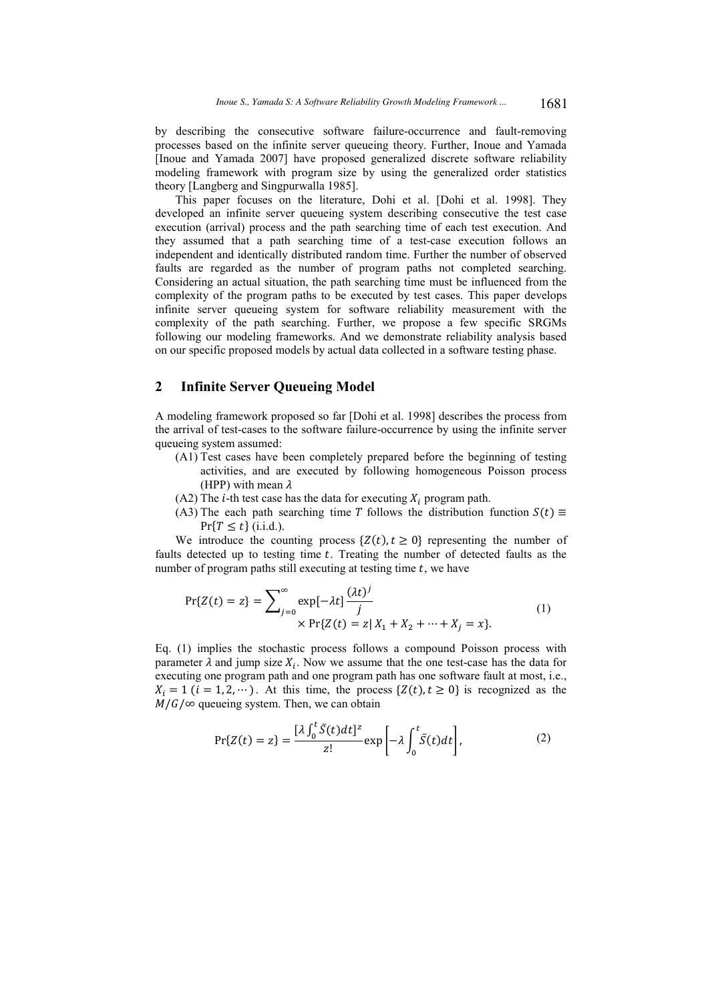by describing the consecutive software failure-occurrence and fault-removing processes based on the infinite server queueing theory. Further, Inoue and Yamada [Inoue and Yamada 2007] have proposed generalized discrete software reliability modeling framework with program size by using the generalized order statistics theory [Langberg and Singpurwalla 1985].

This paper focuses on the literature, Dohi et al. [Dohi et al. 1998]. They developed an infinite server queueing system describing consecutive the test case execution (arrival) process and the path searching time of each test execution. And they assumed that a path searching time of a test-case execution follows an independent and identically distributed random time. Further the number of observed faults are regarded as the number of program paths not completed searching. Considering an actual situation, the path searching time must be influenced from the complexity of the program paths to be executed by test cases. This paper develops infinite server queueing system for software reliability measurement with the complexity of the path searching. Further, we propose a few specific SRGMs following our modeling frameworks. And we demonstrate reliability analysis based on our specific proposed models by actual data collected in a software testing phase.

# **2 Infinite Server Queueing Model**

A modeling framework proposed so far [Dohi et al. 1998] describes the process from the arrival of test-cases to the software failure-occurrence by using the infinite server queueing system assumed:

- (A1) Test cases have been completely prepared before the beginning of testing activities, and are executed by following homogeneous Poisson process (HPP) with mean  $\lambda$
- (A2) The *i*-th test case has the data for executing  $X_i$  program path.
- (A3) The each path searching time T follows the distribution function  $S(t) \equiv$  $Pr{T \le t}$  (i.i.d.).

We introduce the counting process  $\{Z(t), t \geq 0\}$  representing the number of faults detected up to testing time  $t$ . Treating the number of detected faults as the number of program paths still executing at testing time  $t$ , we have

$$
\Pr\{Z(t) = z\} = \sum_{j=0}^{\infty} \exp[-\lambda t] \frac{(\lambda t)^j}{j} \times \Pr\{Z(t) = z | X_1 + X_2 + \dots + X_j = x\}.
$$
 (1)

Eq. (1) implies the stochastic process follows a compound Poisson process with parameter  $\lambda$  and jump size  $X_i$ . Now we assume that the one test-case has the data for executing one program path and one program path has one software fault at most, i.e.,  $X_i = 1$  ( $i = 1, 2, \dots$ ). At this time, the process { $Z(t), t \ge 0$ } is recognized as the  $M/G/\infty$  queueing system. Then, we can obtain

$$
\Pr\{Z(t) = z\} = \frac{[\lambda \int_0^t \bar{S}(t)dt]^z}{z!} \exp\left[-\lambda \int_0^t \bar{S}(t)dt\right],\tag{2}
$$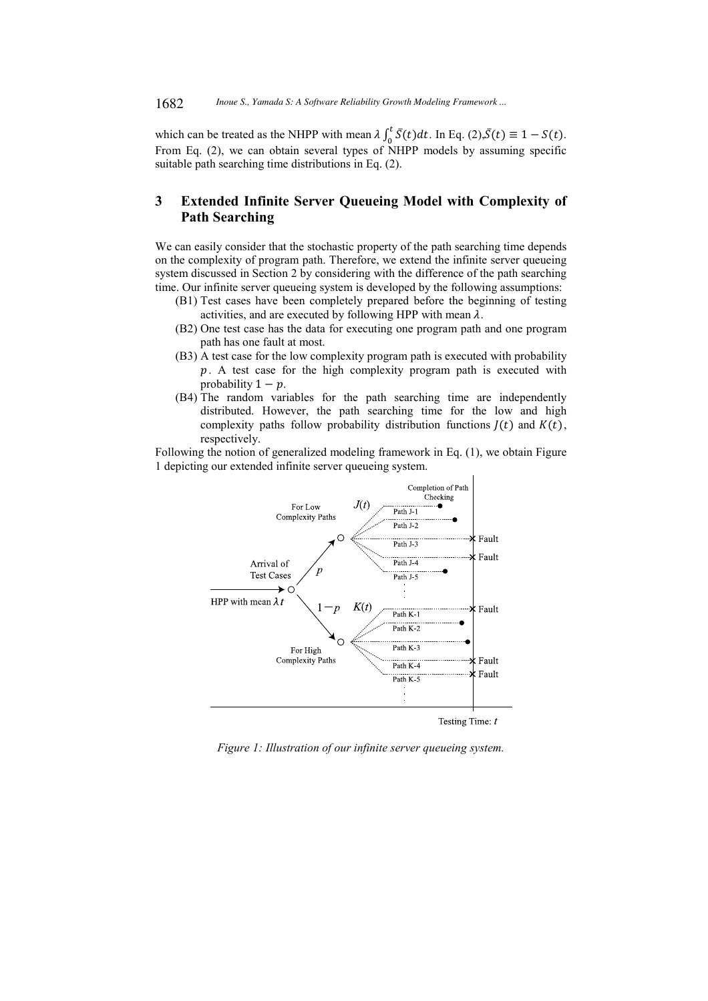which can be treated as the NHPP with mean  $\lambda \int_0^t \overline{S}(t) dt$ . In Eq. (2), $\overline{S}(t) \equiv 1 - S(t)$ . From Eq. (2), we can obtain several types of NHPP models by assuming specific suitable path searching time distributions in Eq. (2).

# **3 Extended Infinite Server Queueing Model with Complexity of Path Searching**

We can easily consider that the stochastic property of the path searching time depends on the complexity of program path. Therefore, we extend the infinite server queueing system discussed in Section 2 by considering with the difference of the path searching time. Our infinite server queueing system is developed by the following assumptions:

- (B1) Test cases have been completely prepared before the beginning of testing activities, and are executed by following HPP with mean  $\lambda$ .
- (B2) One test case has the data for executing one program path and one program path has one fault at most.
- (B3) A test case for the low complexity program path is executed with probability  $p$ . A test case for the high complexity program path is executed with probability  $1 - p$ .
- (B4) The random variables for the path searching time are independently distributed. However, the path searching time for the low and high complexity paths follow probability distribution functions  $J(t)$  and  $K(t)$ , respectively.

Following the notion of generalized modeling framework in Eq. (1), we obtain Figure 1 depicting our extended infinite server queueing system.



*Figure 1: Illustration of our infinite server queueing system.*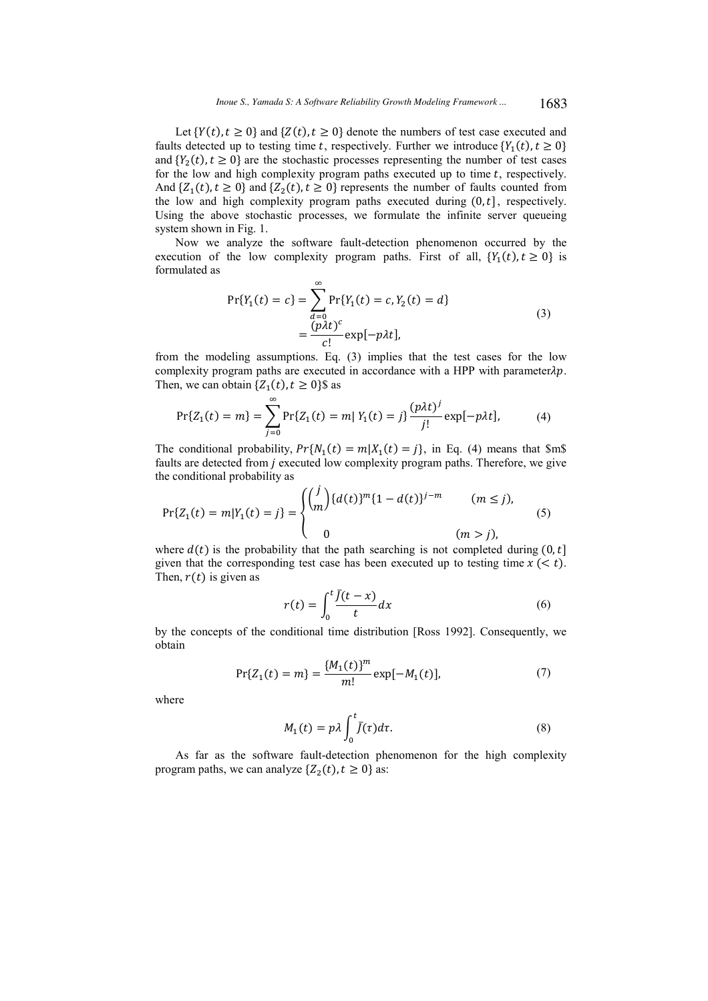Let  $\{Y(t), t \geq 0\}$  and  $\{Z(t), t \geq 0\}$  denote the numbers of test case executed and faults detected up to testing time t, respectively. Further we introduce  $\{Y_1(t), t \ge 0\}$ and  $\{Y_2(t), t \ge 0\}$  are the stochastic processes representing the number of test cases for the low and high complexity program paths executed up to time  $t$ , respectively. And  $\{Z_1(t), t \ge 0\}$  and  $\{Z_2(t), t \ge 0\}$  represents the number of faults counted from the low and high complexity program paths executed during  $(0, t]$ , respectively. Using the above stochastic processes, we formulate the infinite server queueing system shown in Fig. 1.

Now we analyze the software fault-detection phenomenon occurred by the execution of the low complexity program paths. First of all,  $\{Y_1(t), t \ge 0\}$  is formulated as

$$
\Pr\{Y_1(t) = c\} = \sum_{d=0}^{\infty} \Pr\{Y_1(t) = c, Y_2(t) = d\}
$$
  
= 
$$
\frac{(p\lambda t)^c}{c!} \exp[-p\lambda t],
$$
 (3)

from the modeling assumptions. Eq. (3) implies that the test cases for the low complexity program paths are executed in accordance with a HPP with parameter $\lambda p$ . Then, we can obtain  $\{Z_1(t), t \ge 0\}$  as

$$
\Pr\{Z_1(t) = m\} = \sum_{j=0}^{\infty} \Pr\{Z_1(t) = m | Y_1(t) = j\} \frac{(p\lambda t)^j}{j!} \exp[-p\lambda t],\tag{4}
$$

The conditional probability,  $Pr{N_1(t) = m | X_1(t) = j}$ , in Eq. (4) means that \$m\$ faults are detected from *j* executed low complexity program paths. Therefore, we give the conditional probability as

$$
\Pr\{Z_1(t) = m | Y_1(t) = j\} = \begin{cases} \binom{j}{m} \{d(t)\}^m \{1 - d(t)\}^{j - m} & (m \le j), \\ 0 & (m > j), \end{cases}
$$
(5)

where  $d(t)$  is the probability that the path searching is not completed during  $(0, t]$ given that the corresponding test case has been executed up to testing time  $x \leq t$ ). Then,  $r(t)$  is given as

$$
r(t) = \int_0^t \frac{\bar{f}(t - x)}{t} dx
$$
 (6)

by the concepts of the conditional time distribution [Ross 1992]. Consequently, we obtain

$$
Pr{Z_1(t) = m} = \frac{{M_1(t)}^m}{m!} exp[-M_1(t)],
$$
\n(7)

where

$$
M_1(t) = p\lambda \int_0^t \bar{f}(\tau) d\tau.
$$
 (8)

As far as the software fault-detection phenomenon for the high complexity program paths, we can analyze  $\{Z_2(t), t \ge 0\}$  as: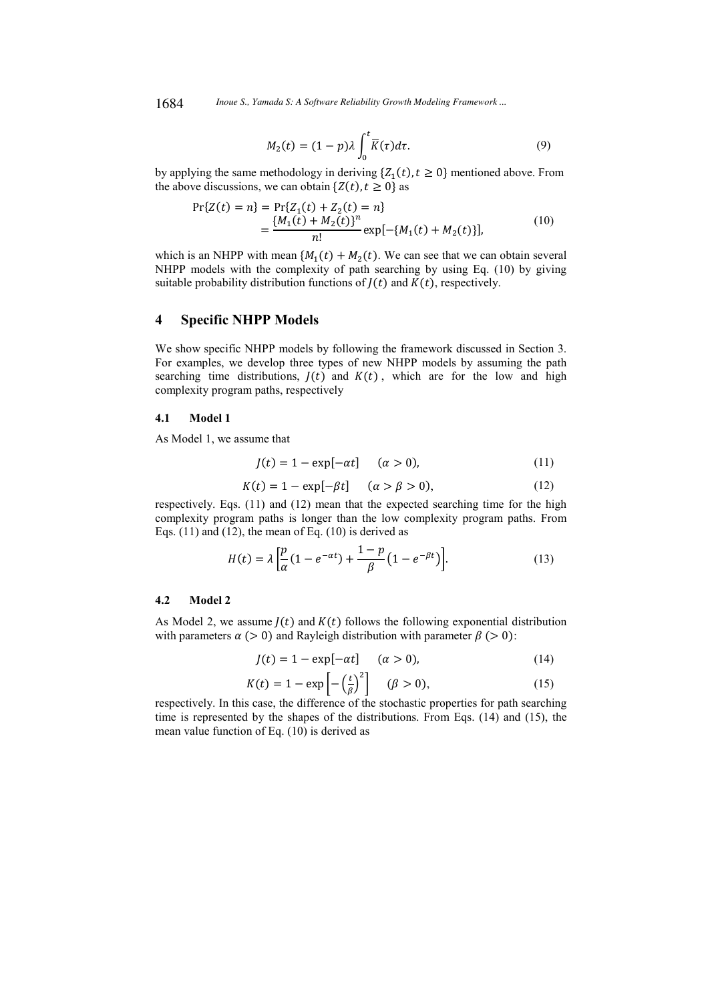1684 *Inoue S., Yamada S: A Software Reliability Growth Modeling Framework ...*

$$
M_2(t) = (1 - p)\lambda \int_0^t \overline{K}(\tau) d\tau.
$$
 (9)

by applying the same methodology in deriving  $\{Z_1(t), t \ge 0\}$  mentioned above. From the above discussions, we can obtain  $\{Z(t), t \ge 0\}$  as

$$
\Pr\{Z(t) = n\} = \Pr\{Z_1(t) + Z_2(t) = n\}
$$
  
= 
$$
\frac{\{M_1(t) + M_2(t)\}^n}{n!} \exp[-\{M_1(t) + M_2(t)\}],
$$
 (10)

which is an NHPP with mean  $\{M_1(t) + M_2(t)\}\$ . We can see that we can obtain several NHPP models with the complexity of path searching by using Eq. (10) by giving suitable probability distribution functions of  $J(t)$  and  $K(t)$ , respectively.

## **4 Specific NHPP Models**

We show specific NHPP models by following the framework discussed in Section 3. For examples, we develop three types of new NHPP models by assuming the path searching time distributions,  $J(t)$  and  $K(t)$ , which are for the low and high complexity program paths, respectively

### **4.1 Model 1**

As Model 1, we assume that

$$
J(t) = 1 - \exp[-\alpha t] \quad (\alpha > 0), \tag{11}
$$

$$
K(t) = 1 - \exp[-\beta t] \quad (\alpha > \beta > 0), \tag{12}
$$

respectively. Eqs. (11) and (12) mean that the expected searching time for the high complexity program paths is longer than the low complexity program paths. From Eqs.  $(11)$  and  $(12)$ , the mean of Eq.  $(10)$  is derived as

$$
H(t) = \lambda \left[ \frac{p}{\alpha} (1 - e^{-\alpha t}) + \frac{1 - p}{\beta} (1 - e^{-\beta t}) \right].
$$
 (13)

#### **4.2 Model 2**

As Model 2, we assume  $J(t)$  and  $K(t)$  follows the following exponential distribution with parameters  $\alpha$  (> 0) and Rayleigh distribution with parameter  $\beta$  (> 0):

$$
J(t) = 1 - \exp[-\alpha t] \quad (\alpha > 0), \tag{14}
$$

$$
K(t) = 1 - \exp\left[-\left(\frac{t}{\beta}\right)^2\right] \quad (\beta > 0),\tag{15}
$$

respectively. In this case, the difference of the stochastic properties for path searching time is represented by the shapes of the distributions. From Eqs. (14) and (15), the mean value function of Eq. (10) is derived as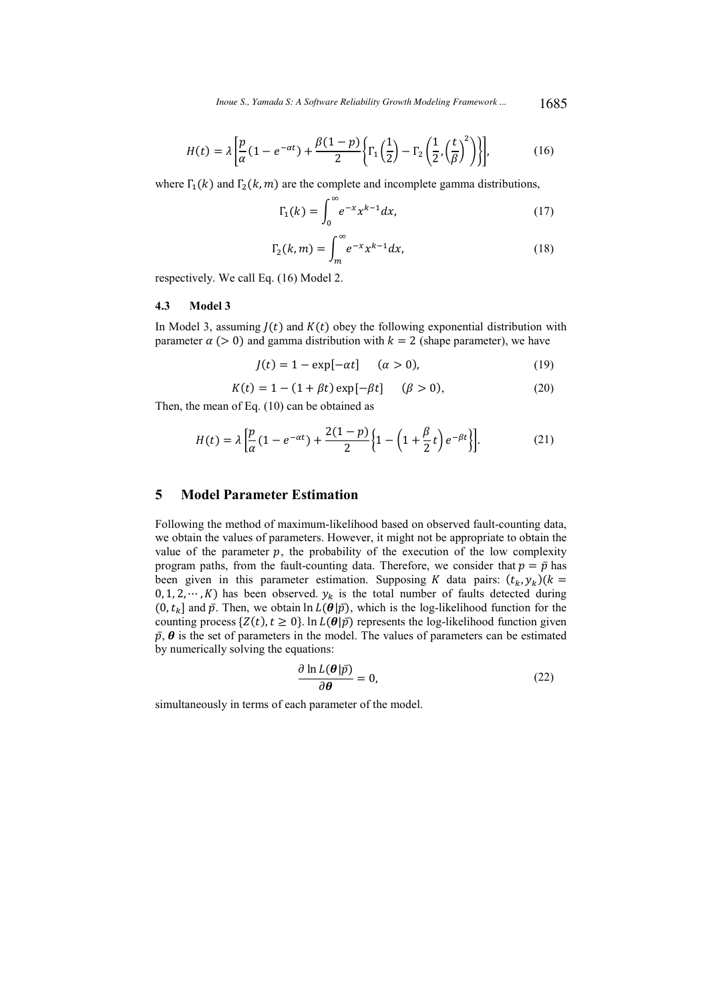*Inoue S., Yamada S: A Software Reliability Growth Modeling Framework ...* 1685

$$
H(t) = \lambda \left[ \frac{p}{\alpha} (1 - e^{-\alpha t}) + \frac{\beta (1 - p)}{2} \left\{ \Gamma_1 \left( \frac{1}{2} \right) - \Gamma_2 \left( \frac{1}{2}, \left( \frac{t}{\beta} \right)^2 \right) \right\} \right],
$$
 (16)

where  $\Gamma_1(k)$  and  $\Gamma_2(k,m)$  are the complete and incomplete gamma distributions,

$$
\Gamma_1(k) = \int_0^\infty e^{-x} x^{k-1} dx,\tag{17}
$$

$$
\Gamma_2(k,m) = \int_m^\infty e^{-x} x^{k-1} dx,\tag{18}
$$

respectively. We call Eq. (16) Model 2.

### **4.3 Model 3**

In Model 3, assuming  $J(t)$  and  $K(t)$  obey the following exponential distribution with parameter  $\alpha$  (> 0) and gamma distribution with  $k = 2$  (shape parameter), we have

$$
J(t) = 1 - \exp[-\alpha t] \quad (\alpha > 0), \tag{19}
$$

$$
K(t) = 1 - (1 + \beta t) \exp[-\beta t] \quad (\beta > 0),
$$
 (20)

Then, the mean of Eq. (10) can be obtained as

$$
H(t) = \lambda \left[ \frac{p}{\alpha} (1 - e^{-\alpha t}) + \frac{2(1 - p)}{2} \left\{ 1 - \left( 1 + \frac{\beta}{2} t \right) e^{-\beta t} \right\} \right].
$$
 (21)

# **5 Model Parameter Estimation**

Following the method of maximum-likelihood based on observed fault-counting data, we obtain the values of parameters. However, it might not be appropriate to obtain the value of the parameter  $p$ , the probability of the execution of the low complexity program paths, from the fault-counting data. Therefore, we consider that  $p = \bar{p}$  has been given in this parameter estimation. Supposing K data pairs:  $(t_k, y_k)(k =$  $(0, 1, 2, \dots, K)$  has been observed.  $y_k$  is the total number of faults detected during  $(0, t_k]$  and  $\bar{p}$ . Then, we obtain  $\ln L(\theta|\bar{p})$ , which is the log-likelihood function for the counting process  $\{Z(t), t \ge 0\}$ . In  $L(\theta|\bar{p})$  represents the log-likelihood function given  $\bar{p}$ ,  $\theta$  is the set of parameters in the model. The values of parameters can be estimated by numerically solving the equations:

$$
\frac{\partial \ln L(\theta|\bar{p})}{\partial \theta} = 0, \tag{22}
$$

simultaneously in terms of each parameter of the model.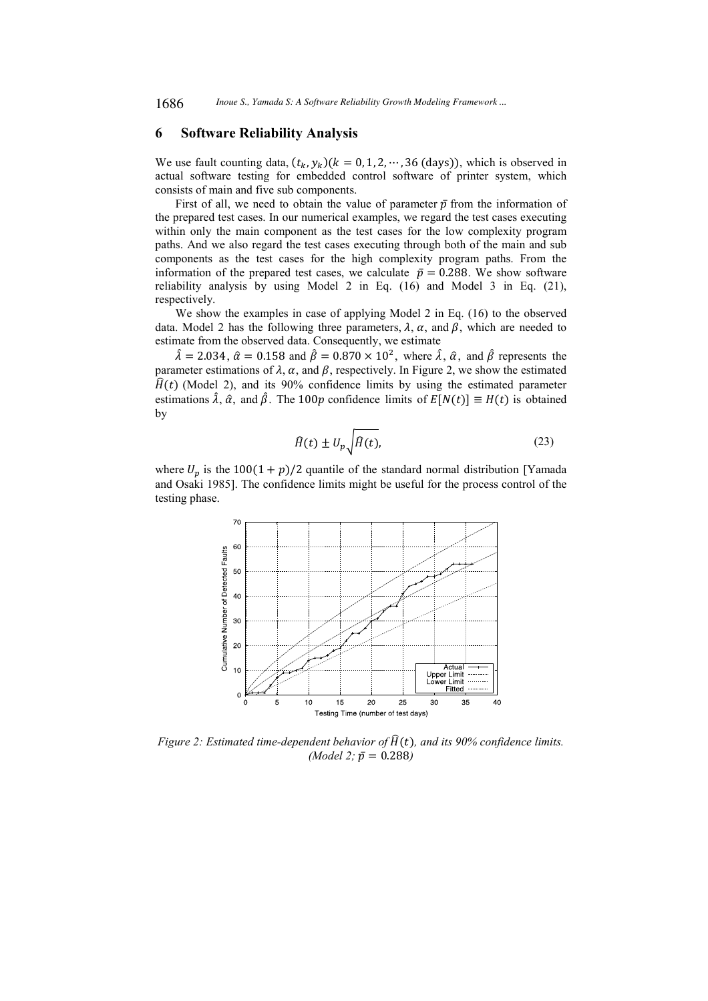### **6 Software Reliability Analysis**

We use fault counting data,  $(t_k, y_k)(k = 0, 1, 2, \dots, 36$  (days)), which is observed in actual software testing for embedded control software of printer system, which consists of main and five sub components.

First of all, we need to obtain the value of parameter  $\bar{p}$  from the information of the prepared test cases. In our numerical examples, we regard the test cases executing within only the main component as the test cases for the low complexity program paths. And we also regard the test cases executing through both of the main and sub components as the test cases for the high complexity program paths. From the information of the prepared test cases, we calculate  $\bar{p} = 0.288$ . We show software reliability analysis by using Model 2 in Eq. (16) and Model 3 in Eq. (21), respectively.

We show the examples in case of applying Model 2 in Eq. (16) to the observed data. Model 2 has the following three parameters,  $\lambda$ ,  $\alpha$ , and  $\beta$ , which are needed to estimate from the observed data. Consequently, we estimate

 $\hat{\lambda} = 2.034$ ,  $\hat{\alpha} = 0.158$  and  $\hat{\beta} = 0.870 \times 10^2$ , where  $\hat{\lambda}$ ,  $\hat{\alpha}$ , and  $\hat{\beta}$  represents the parameter estimations of  $\lambda$ ,  $\alpha$ , and  $\beta$ , respectively. In Figure 2, we show the estimated  $\hat{H}(t)$  (Model 2), and its 90% confidence limits by using the estimated parameter estimations  $\hat{\lambda}$ ,  $\hat{\alpha}$ , and  $\hat{\beta}$ . The 100p confidence limits of  $E[N(t)] \equiv H(t)$  is obtained by

$$
\widehat{H}(t) \pm U_p \sqrt{\widehat{H}(t)},\tag{23}
$$

where  $U_p$  is the 100(1 + p)/2 quantile of the standard normal distribution [Yamada and Osaki 1985]. The confidence limits might be useful for the process control of the testing phase.



*Figure 2: Estimated time-dependent behavior of*  $\hat{H}(t)$ *, and its 90% confidence limits. (Model 2;*  $\bar{p} = 0.288$ )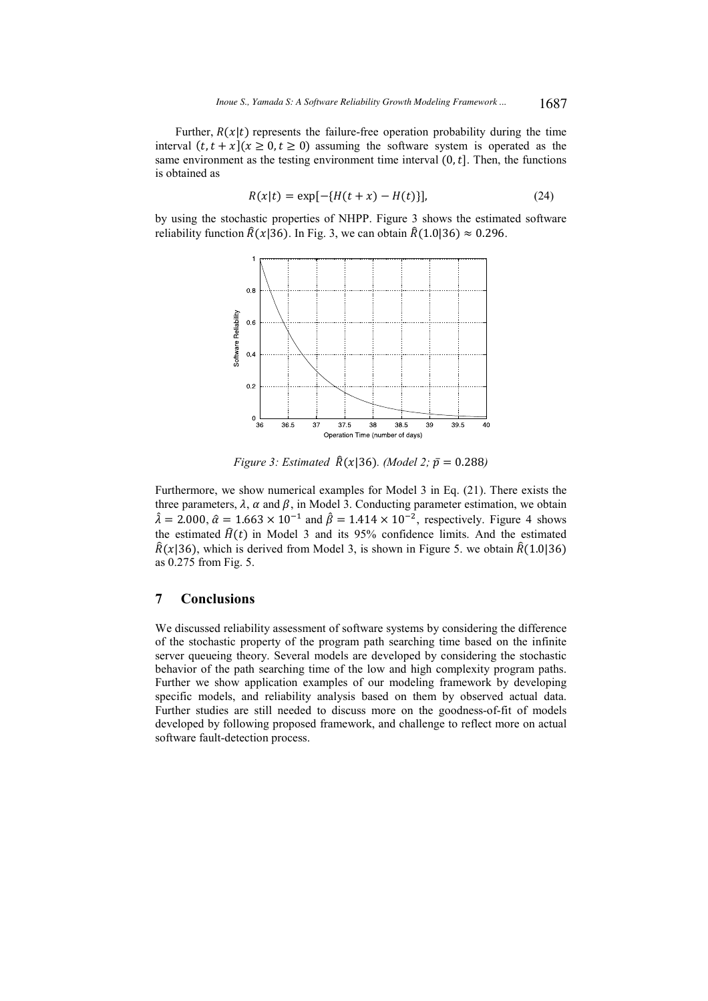Further,  $R(x|t)$  represents the failure-free operation probability during the time interval  $(t, t + x)(x \ge 0, t \ge 0)$  assuming the software system is operated as the same environment as the testing environment time interval  $(0, t]$ . Then, the functions is obtained as

$$
R(x|t) = \exp[-\{H(t+x) - H(t)\}],
$$
\n(24)

by using the stochastic properties of NHPP. Figure 3 shows the estimated software reliability function  $\hat{R}(x|36)$ . In Fig. 3, we can obtain  $\hat{R}(1.0|36) \approx 0.296$ .



*Figure 3: Estimated*  $\hat{R}(x|36)$ *. (Model 2;*  $\bar{p} = 0.288$ )

Furthermore, we show numerical examples for Model 3 in Eq. (21). There exists the three parameters,  $\lambda$ ,  $\alpha$  and  $\beta$ , in Model 3. Conducting parameter estimation, we obtain  $\hat{\lambda} = 2.000$ ,  $\hat{\alpha} = 1.663 \times 10^{-1}$  and  $\hat{\beta} = 1.414 \times 10^{-2}$ , respectively. Figure 4 shows the estimated  $\hat{H}(t)$  in Model 3 and its 95% confidence limits. And the estimated  $\hat{R}(x|36)$ , which is derived from Model 3, is shown in Figure 5. we obtain  $\hat{R}(1.0|36)$ as 0.275 from Fig. 5.

### **7 Conclusions**

We discussed reliability assessment of software systems by considering the difference of the stochastic property of the program path searching time based on the infinite server queueing theory. Several models are developed by considering the stochastic behavior of the path searching time of the low and high complexity program paths. Further we show application examples of our modeling framework by developing specific models, and reliability analysis based on them by observed actual data. Further studies are still needed to discuss more on the goodness-of-fit of models developed by following proposed framework, and challenge to reflect more on actual software fault-detection process.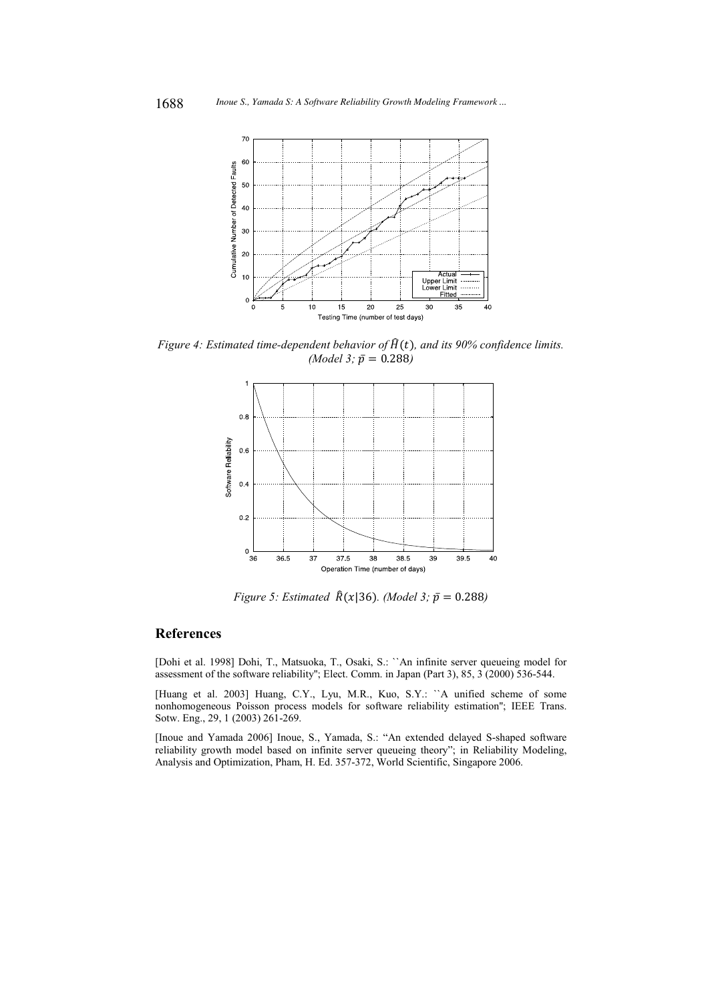

*Figure 4: Estimated time-dependent behavior of*  $\hat{H}(t)$ *, and its 90% confidence limits. (Model 3;*  $\bar{p} = 0.288$ *)* 



*Figure 5: Estimated*  $\hat{R}(x|36)$ *. (Model 3;*  $\bar{p} = 0.288$ *)* 

# **References**

[Dohi et al. 1998] Dohi, T., Matsuoka, T., Osaki, S.: ``An infinite server queueing model for assessment of the software reliability''; Elect. Comm. in Japan (Part 3), 85, 3 (2000) 536-544.

[Huang et al. 2003] Huang, C.Y., Lyu, M.R., Kuo, S.Y.: ``A unified scheme of some nonhomogeneous Poisson process models for software reliability estimation''; IEEE Trans. Sotw. Eng., 29, 1 (2003) 261-269.

[Inoue and Yamada 2006] Inoue, S., Yamada, S.: "An extended delayed S-shaped software reliability growth model based on infinite server queueing theory"; in Reliability Modeling, Analysis and Optimization, Pham, H. Ed. 357-372, World Scientific, Singapore 2006.